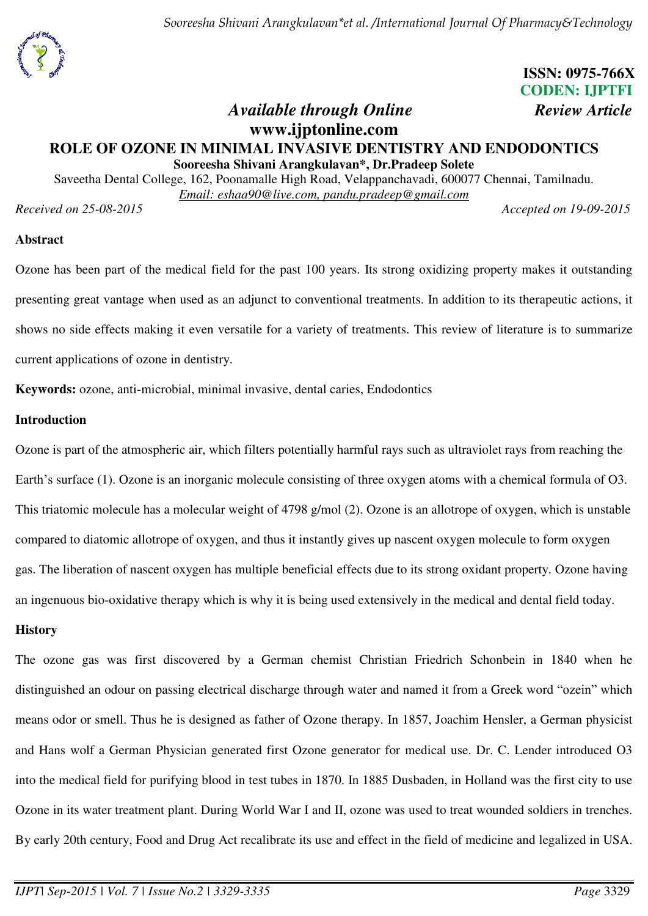



# **ISSN: 0975-766X CODEN: IJPTFI**

## *Available through Online Review Article* **www.ijptonline.com ROLE OF OZONE IN MINIMAL INVASIVE DENTISTRY AND ENDODONTICS Sooreesha Shivani Arangkulavan\*, Dr.Pradeep Solete**

Saveetha Dental College, 162, Poonamalle High Road, Velappanchavadi, 600077 Chennai, Tamilnadu. *Email: eshaa90@live.com, pandu.pradeep@gmail.com* 

*Received on 25-08-2015 Accepted on 19-09-2015* 

#### **Abstract**

Ozone has been part of the medical field for the past 100 years. Its strong oxidizing property makes it outstanding presenting great vantage when used as an adjunct to conventional treatments. In addition to its therapeutic actions, it shows no side effects making it even versatile for a variety of treatments. This review of literature is to summarize current applications of ozone in dentistry.

**Keywords:** ozone, anti-microbial, minimal invasive, dental caries, Endodontics

#### **Introduction**

Ozone is part of the atmospheric air, which filters potentially harmful rays such as ultraviolet rays from reaching the Earth's surface (1). Ozone is an inorganic molecule consisting of three oxygen atoms with a chemical formula of O3. This triatomic molecule has a molecular weight of 4798 g/mol (2). Ozone is an allotrope of oxygen, which is unstable compared to diatomic allotrope of oxygen, and thus it instantly gives up nascent oxygen molecule to form oxygen gas. The liberation of nascent oxygen has multiple beneficial effects due to its strong oxidant property. Ozone having an ingenuous bio-oxidative therapy which is why it is being used extensively in the medical and dental field today.

#### **History**

The ozone gas was first discovered by a German chemist Christian Friedrich Schonbein in 1840 when he distinguished an odour on passing electrical discharge through water and named it from a Greek word "ozein" which means odor or smell. Thus he is designed as father of Ozone therapy. In 1857, Joachim Hensler, a German physicist and Hans wolf a German Physician generated first Ozone generator for medical use. Dr. C. Lender introduced O3 into the medical field for purifying blood in test tubes in 1870. In 1885 Dusbaden, in Holland was the first city to use Ozone in its water treatment plant. During World War I and II, ozone was used to treat wounded soldiers in trenches. By early 20th century, Food and Drug Act recalibrate its use and effect in the field of medicine and legalized in USA.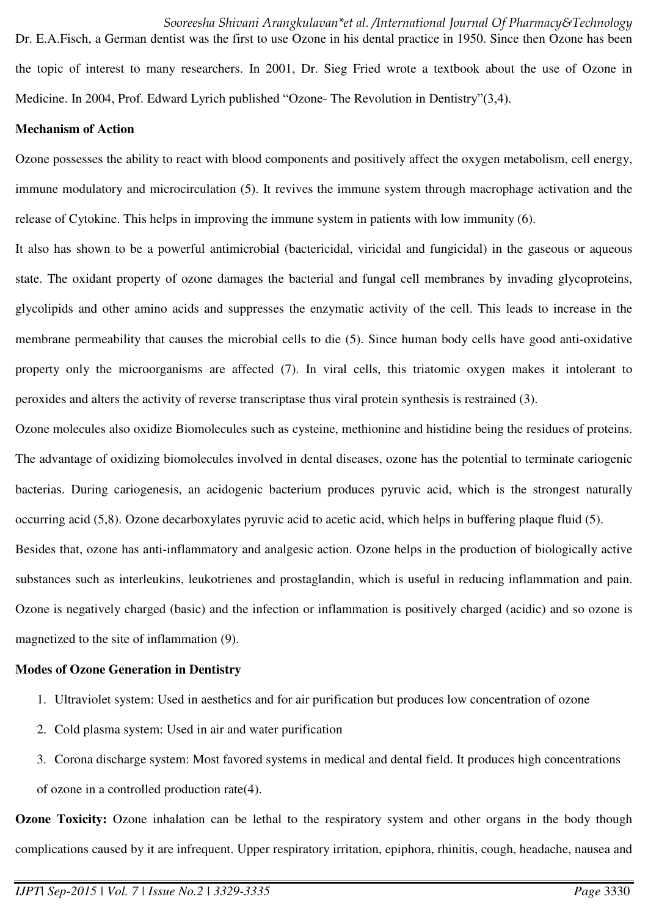*Sooreesha Shivani Arangkulavan\*et al. /International Journal Of Pharmacy&Technology*  Dr. E.A.Fisch, a German dentist was the first to use Ozone in his dental practice in 1950. Since then Ozone has been the topic of interest to many researchers. In 2001, Dr. Sieg Fried wrote a textbook about the use of Ozone in Medicine. In 2004, Prof. Edward Lyrich published "Ozone- The Revolution in Dentistry"(3,4).

#### **Mechanism of Action**

Ozone possesses the ability to react with blood components and positively affect the oxygen metabolism, cell energy, immune modulatory and microcirculation (5). It revives the immune system through macrophage activation and the release of Cytokine. This helps in improving the immune system in patients with low immunity (6).

It also has shown to be a powerful antimicrobial (bactericidal, viricidal and fungicidal) in the gaseous or aqueous state. The oxidant property of ozone damages the bacterial and fungal cell membranes by invading glycoproteins, glycolipids and other amino acids and suppresses the enzymatic activity of the cell. This leads to increase in the membrane permeability that causes the microbial cells to die (5). Since human body cells have good anti-oxidative property only the microorganisms are affected (7). In viral cells, this triatomic oxygen makes it intolerant to peroxides and alters the activity of reverse transcriptase thus viral protein synthesis is restrained (3).

Ozone molecules also oxidize Biomolecules such as cysteine, methionine and histidine being the residues of proteins. The advantage of oxidizing biomolecules involved in dental diseases, ozone has the potential to terminate cariogenic bacterias. During cariogenesis, an acidogenic bacterium produces pyruvic acid, which is the strongest naturally occurring acid (5,8). Ozone decarboxylates pyruvic acid to acetic acid, which helps in buffering plaque fluid (5). Besides that, ozone has anti-inflammatory and analgesic action. Ozone helps in the production of biologically active substances such as interleukins, leukotrienes and prostaglandin, which is useful in reducing inflammation and pain. Ozone is negatively charged (basic) and the infection or inflammation is positively charged (acidic) and so ozone is

## magnetized to the site of inflammation (9). **Modes of Ozone Generation in Dentistry**

- 1. Ultraviolet system: Used in aesthetics and for air purification but produces low concentration of ozone
- 2. Cold plasma system: Used in air and water purification
- 3. Corona discharge system: Most favored systems in medical and dental field. It produces high concentrations of ozone in a controlled production rate(4).

**Ozone Toxicity:** Ozone inhalation can be lethal to the respiratory system and other organs in the body though complications caused by it are infrequent. Upper respiratory irritation, epiphora, rhinitis, cough, headache, nausea and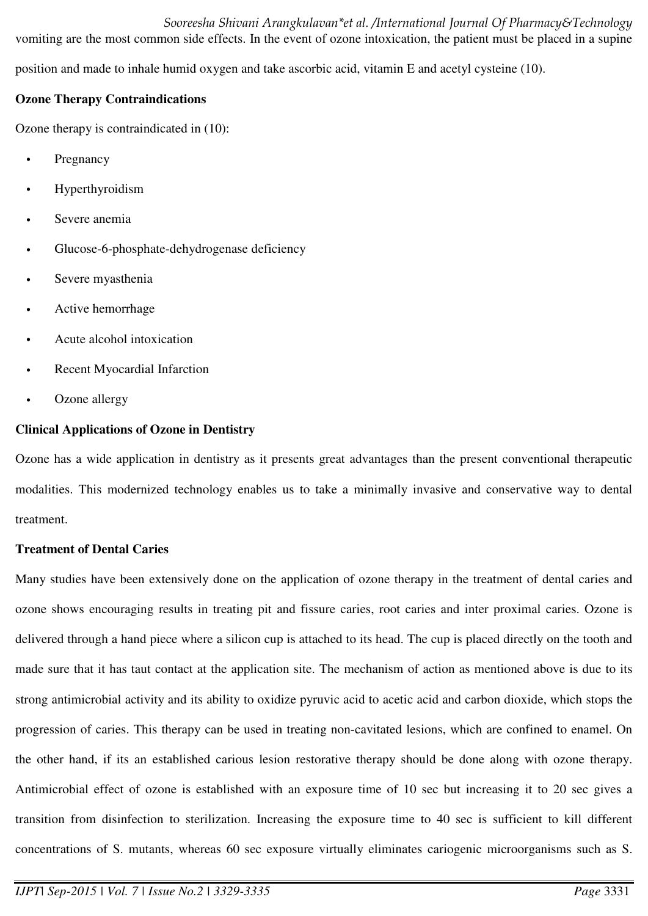*Sooreesha Shivani Arangkulavan\*et al. /International Journal Of Pharmacy&Technology*  vomiting are the most common side effects. In the event of ozone intoxication, the patient must be placed in a supine

position and made to inhale humid oxygen and take ascorbic acid, vitamin E and acetyl cysteine (10).

### **Ozone Therapy Contraindications**

Ozone therapy is contraindicated in (10):

- **Pregnancy**
- **Hyperthyroidism**
- Severe anemia
- Glucose-6-phosphate-dehydrogenase deficiency
- Severe myasthenia
- Active hemorrhage
- Acute alcohol intoxication
- Recent Myocardial Infarction
- Ozone allergy

## **Clinical Applications of Ozone in Dentistry**

Ozone has a wide application in dentistry as it presents great advantages than the present conventional therapeutic modalities. This modernized technology enables us to take a minimally invasive and conservative way to dental treatment.

## **Treatment of Dental Caries**

Many studies have been extensively done on the application of ozone therapy in the treatment of dental caries and ozone shows encouraging results in treating pit and fissure caries, root caries and inter proximal caries. Ozone is delivered through a hand piece where a silicon cup is attached to its head. The cup is placed directly on the tooth and made sure that it has taut contact at the application site. The mechanism of action as mentioned above is due to its strong antimicrobial activity and its ability to oxidize pyruvic acid to acetic acid and carbon dioxide, which stops the progression of caries. This therapy can be used in treating non-cavitated lesions, which are confined to enamel. On the other hand, if its an established carious lesion restorative therapy should be done along with ozone therapy. Antimicrobial effect of ozone is established with an exposure time of 10 sec but increasing it to 20 sec gives a transition from disinfection to sterilization. Increasing the exposure time to 40 sec is sufficient to kill different concentrations of S. mutants, whereas 60 sec exposure virtually eliminates cariogenic microorganisms such as S.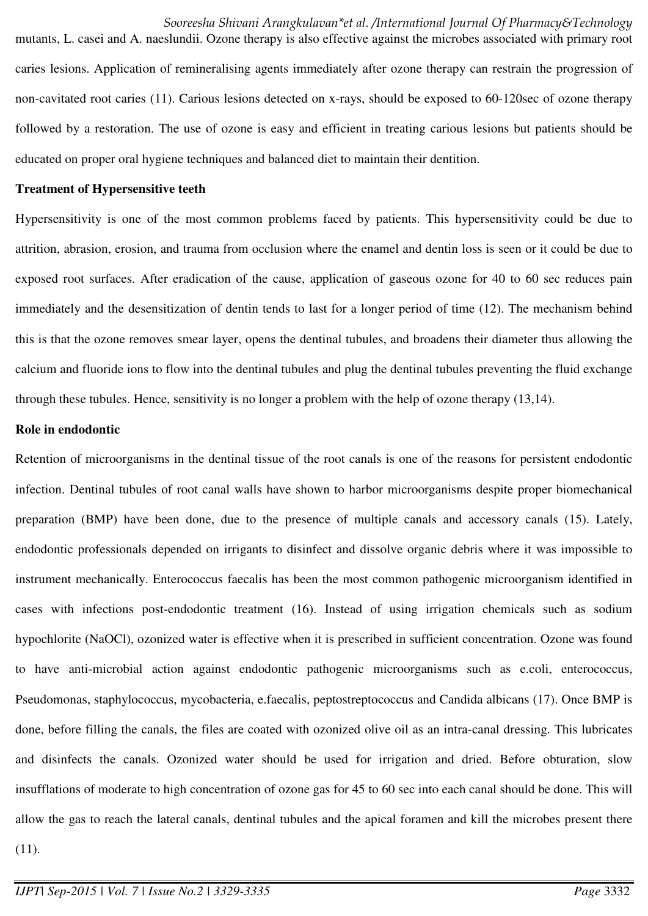#### *Sooreesha Shivani Arangkulavan\*et al. /International Journal Of Pharmacy&Technology*

mutants, L. casei and A. naeslundii. Ozone therapy is also effective against the microbes associated with primary root caries lesions. Application of remineralising agents immediately after ozone therapy can restrain the progression of non-cavitated root caries (11). Carious lesions detected on x-rays, should be exposed to 60-120sec of ozone therapy followed by a restoration. The use of ozone is easy and efficient in treating carious lesions but patients should be educated on proper oral hygiene techniques and balanced diet to maintain their dentition.

#### **Treatment of Hypersensitive teeth**

Hypersensitivity is one of the most common problems faced by patients. This hypersensitivity could be due to attrition, abrasion, erosion, and trauma from occlusion where the enamel and dentin loss is seen or it could be due to exposed root surfaces. After eradication of the cause, application of gaseous ozone for 40 to 60 sec reduces pain immediately and the desensitization of dentin tends to last for a longer period of time (12). The mechanism behind this is that the ozone removes smear layer, opens the dentinal tubules, and broadens their diameter thus allowing the calcium and fluoride ions to flow into the dentinal tubules and plug the dentinal tubules preventing the fluid exchange through these tubules. Hence, sensitivity is no longer a problem with the help of ozone therapy (13,14).

#### **Role in endodontic**

Retention of microorganisms in the dentinal tissue of the root canals is one of the reasons for persistent endodontic infection. Dentinal tubules of root canal walls have shown to harbor microorganisms despite proper biomechanical preparation (BMP) have been done, due to the presence of multiple canals and accessory canals (15). Lately, endodontic professionals depended on irrigants to disinfect and dissolve organic debris where it was impossible to instrument mechanically. Enterococcus faecalis has been the most common pathogenic microorganism identified in cases with infections post-endodontic treatment (16). Instead of using irrigation chemicals such as sodium hypochlorite (NaOCl), ozonized water is effective when it is prescribed in sufficient concentration. Ozone was found to have anti-microbial action against endodontic pathogenic microorganisms such as e.coli, enterococcus, Pseudomonas, staphylococcus, mycobacteria, e.faecalis, peptostreptococcus and Candida albicans (17). Once BMP is done, before filling the canals, the files are coated with ozonized olive oil as an intra-canal dressing. This lubricates and disinfects the canals. Ozonized water should be used for irrigation and dried. Before obturation, slow insufflations of moderate to high concentration of ozone gas for 45 to 60 sec into each canal should be done. This will allow the gas to reach the lateral canals, dentinal tubules and the apical foramen and kill the microbes present there

(11).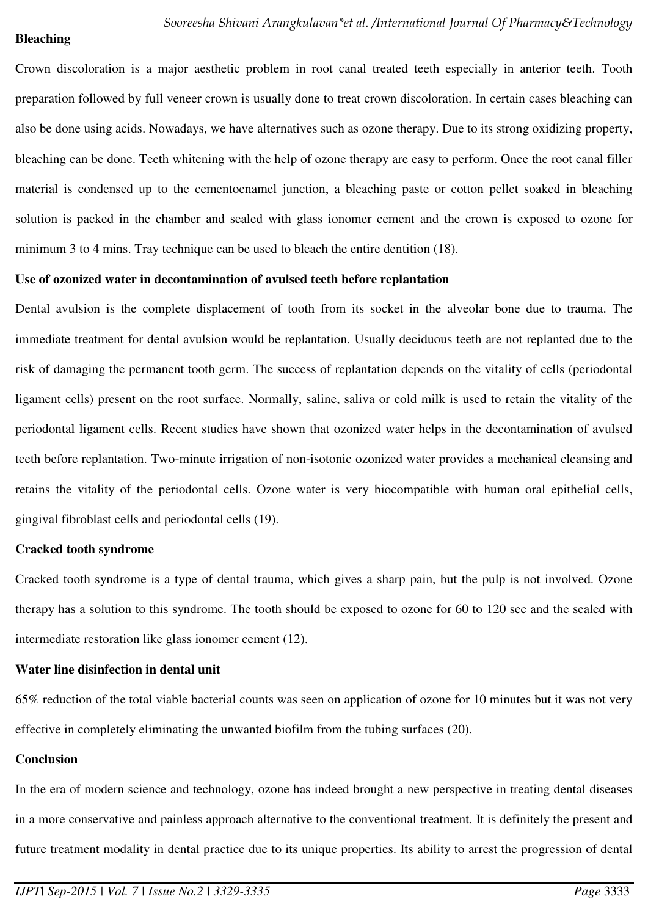#### **Bleaching**

Crown discoloration is a major aesthetic problem in root canal treated teeth especially in anterior teeth. Tooth preparation followed by full veneer crown is usually done to treat crown discoloration. In certain cases bleaching can also be done using acids. Nowadays, we have alternatives such as ozone therapy. Due to its strong oxidizing property, bleaching can be done. Teeth whitening with the help of ozone therapy are easy to perform. Once the root canal filler material is condensed up to the cementoenamel junction, a bleaching paste or cotton pellet soaked in bleaching solution is packed in the chamber and sealed with glass ionomer cement and the crown is exposed to ozone for minimum 3 to 4 mins. Tray technique can be used to bleach the entire dentition (18).

#### **Use of ozonized water in decontamination of avulsed teeth before replantation**

Dental avulsion is the complete displacement of tooth from its socket in the alveolar bone due to trauma. The immediate treatment for dental avulsion would be replantation. Usually deciduous teeth are not replanted due to the risk of damaging the permanent tooth germ. The success of replantation depends on the vitality of cells (periodontal ligament cells) present on the root surface. Normally, saline, saliva or cold milk is used to retain the vitality of the periodontal ligament cells. Recent studies have shown that ozonized water helps in the decontamination of avulsed teeth before replantation. Two-minute irrigation of non-isotonic ozonized water provides a mechanical cleansing and retains the vitality of the periodontal cells. Ozone water is very biocompatible with human oral epithelial cells, gingival fibroblast cells and periodontal cells (19).

#### **Cracked tooth syndrome**

Cracked tooth syndrome is a type of dental trauma, which gives a sharp pain, but the pulp is not involved. Ozone therapy has a solution to this syndrome. The tooth should be exposed to ozone for 60 to 120 sec and the sealed with intermediate restoration like glass ionomer cement (12).

#### **Water line disinfection in dental unit**

65% reduction of the total viable bacterial counts was seen on application of ozone for 10 minutes but it was not very effective in completely eliminating the unwanted biofilm from the tubing surfaces (20).

#### **Conclusion**

In the era of modern science and technology, ozone has indeed brought a new perspective in treating dental diseases in a more conservative and painless approach alternative to the conventional treatment. It is definitely the present and future treatment modality in dental practice due to its unique properties. Its ability to arrest the progression of dental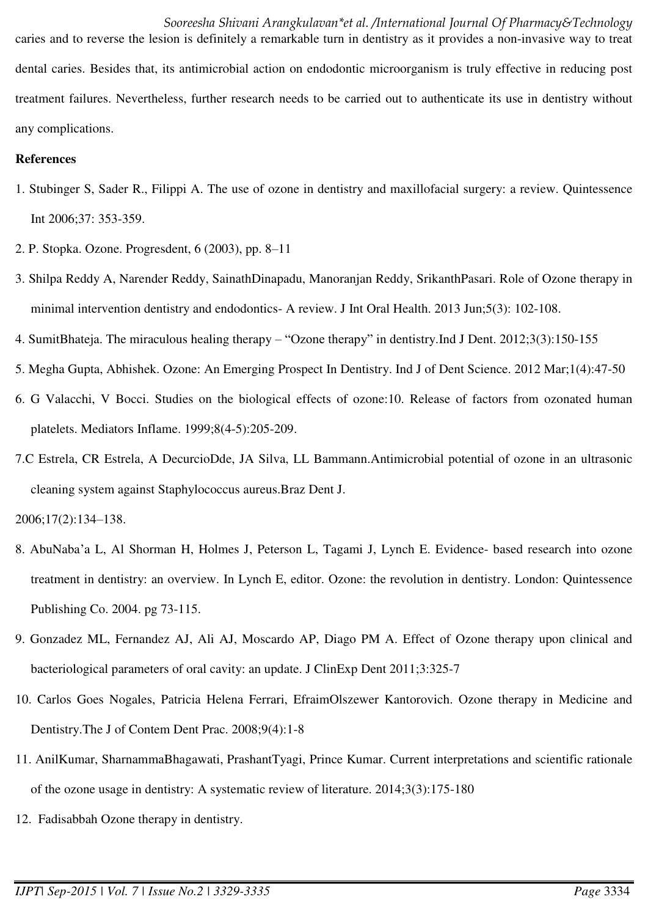*Sooreesha Shivani Arangkulavan\*et al. /International Journal Of Pharmacy&Technology*  caries and to reverse the lesion is definitely a remarkable turn in dentistry as it provides a non-invasive way to treat dental caries. Besides that, its antimicrobial action on endodontic microorganism is truly effective in reducing post treatment failures. Nevertheless, further research needs to be carried out to authenticate its use in dentistry without any complications.

#### **References**

- 1. Stubinger S, Sader R., Filippi A. The use of ozone in dentistry and maxillofacial surgery: a review. Quintessence Int 2006;37: 353-359.
- 2. P. Stopka. Ozone. Progresdent, 6 (2003), pp. 8–11
- 3. Shilpa Reddy A, Narender Reddy, SainathDinapadu, Manoranjan Reddy, SrikanthPasari. Role of Ozone therapy in minimal intervention dentistry and endodontics- A review. J Int Oral Health. 2013 Jun;5(3): 102-108.
- 4. SumitBhateja. The miraculous healing therapy "Ozone therapy" in dentistry.Ind J Dent. 2012;3(3):150-155
- 5. Megha Gupta, Abhishek. Ozone: An Emerging Prospect In Dentistry. Ind J of Dent Science. 2012 Mar;1(4):47-50
- 6. G Valacchi, V Bocci. Studies on the biological effects of ozone:10. Release of factors from ozonated human platelets. Mediators Inflame. 1999;8(4-5):205-209.
- 7.C Estrela, CR Estrela, A DecurcioDde, JA Silva, LL Bammann.Antimicrobial potential of ozone in an ultrasonic cleaning system against Staphylococcus aureus.Braz Dent J.

2006;17(2):134–138.

- 8. AbuNaba'a L, Al Shorman H, Holmes J, Peterson L, Tagami J, Lynch E. Evidence- based research into ozone treatment in dentistry: an overview. In Lynch E, editor. Ozone: the revolution in dentistry. London: Quintessence Publishing Co. 2004. pg 73-115.
- 9. Gonzadez ML, Fernandez AJ, Ali AJ, Moscardo AP, Diago PM A. Effect of Ozone therapy upon clinical and bacteriological parameters of oral cavity: an update. J ClinExp Dent 2011;3:325-7
- 10. Carlos Goes Nogales, Patricia Helena Ferrari, EfraimOlszewer Kantorovich. Ozone therapy in Medicine and Dentistry.The J of Contem Dent Prac. 2008;9(4):1-8
- 11. AnilKumar, SharnammaBhagawati, PrashantTyagi, Prince Kumar. Current interpretations and scientific rationale of the ozone usage in dentistry: A systematic review of literature. 2014;3(3):175-180
- 12. Fadisabbah Ozone therapy in dentistry.